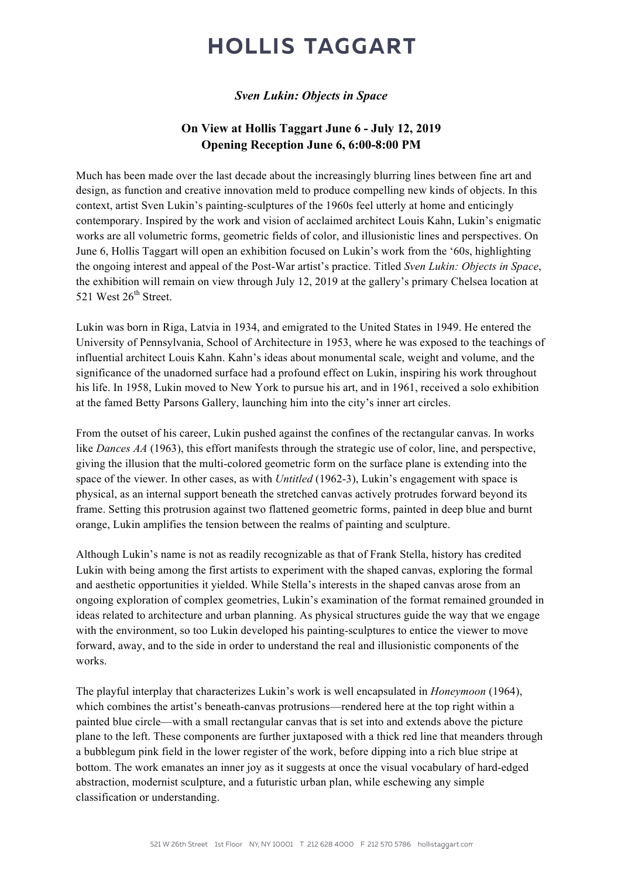# **HOLLIS TAGGART**

### *Sven Lukin: Objects in Space*

### **On View at Hollis Taggart June 6 - July 12, 2019 Opening Reception June 6, 6:00-8:00 PM**

Much has been made over the last decade about the increasingly blurring lines between fine art and design, as function and creative innovation meld to produce compelling new kinds of objects. In this context, artist Sven Lukin's painting-sculptures of the 1960s feel utterly at home and enticingly contemporary. Inspired by the work and vision of acclaimed architect Louis Kahn, Lukin's enigmatic works are all volumetric forms, geometric fields of color, and illusionistic lines and perspectives. On June 6, Hollis Taggart will open an exhibition focused on Lukin's work from the '60s, highlighting the ongoing interest and appeal of the Post-War artist's practice. Titled *Sven Lukin: Objects in Space*, the exhibition will remain on view through July 12, 2019 at the gallery's primary Chelsea location at 521 West  $26^{th}$  Street.

Lukin was born in Riga, Latvia in 1934, and emigrated to the United States in 1949. He entered the University of Pennsylvania, School of Architecture in 1953, where he was exposed to the teachings of influential architect Louis Kahn. Kahn's ideas about monumental scale, weight and volume, and the significance of the unadorned surface had a profound effect on Lukin, inspiring his work throughout his life. In 1958, Lukin moved to New York to pursue his art, and in 1961, received a solo exhibition at the famed Betty Parsons Gallery, launching him into the city's inner art circles.

From the outset of his career, Lukin pushed against the confines of the rectangular canvas. In works like *Dances AA* (1963), this effort manifests through the strategic use of color, line, and perspective, giving the illusion that the multi-colored geometric form on the surface plane is extending into the space of the viewer. In other cases, as with *Untitled* (1962-3), Lukin's engagement with space is physical, as an internal support beneath the stretched canvas actively protrudes forward beyond its frame. Setting this protrusion against two flattened geometric forms, painted in deep blue and burnt orange, Lukin amplifies the tension between the realms of painting and sculpture.

Although Lukin's name is not as readily recognizable as that of Frank Stella, history has credited Lukin with being among the first artists to experiment with the shaped canvas, exploring the formal and aesthetic opportunities it yielded. While Stella's interests in the shaped canvas arose from an ongoing exploration of complex geometries, Lukin's examination of the format remained grounded in ideas related to architecture and urban planning. As physical structures guide the way that we engage with the environment, so too Lukin developed his painting-sculptures to entice the viewer to move forward, away, and to the side in order to understand the real and illusionistic components of the works.

The playful interplay that characterizes Lukin's work is well encapsulated in *Honeymoon* (1964), which combines the artist's beneath-canvas protrusions—rendered here at the top right within a painted blue circle—with a small rectangular canvas that is set into and extends above the picture plane to the left. These components are further juxtaposed with a thick red line that meanders through a bubblegum pink field in the lower register of the work, before dipping into a rich blue stripe at bottom. The work emanates an inner joy as it suggests at once the visual vocabulary of hard-edged abstraction, modernist sculpture, and a futuristic urban plan, while eschewing any simple classification or understanding.